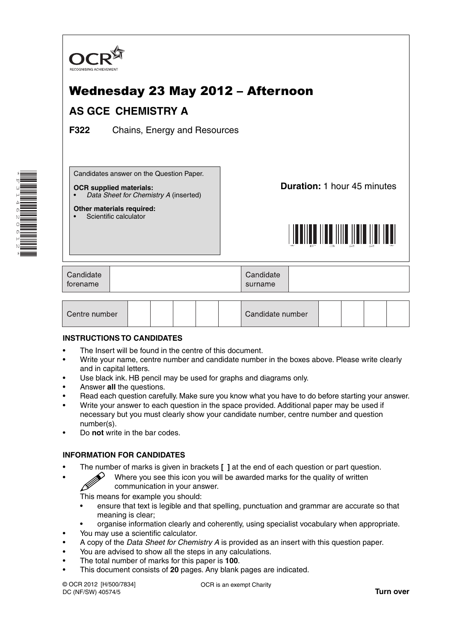

# Wednesday 23 May 2012 – Afternoon

## **AS GCE CHEMISTRY A**

**F322** Chains, Energy and Resources

Candidates answer on the Question Paper.

#### **OCR supplied materials:**

**Other materials required:** Scientific calculator

• *Data Sheet for Chemistry A* (inserted)

**Duration:** 1 hour 45 minutes



| Candidate<br>forename |  | Candidate<br>surname |  |
|-----------------------|--|----------------------|--|
|-----------------------|--|----------------------|--|

| Centre number |  |  |  |  |  | Candidate number |  |  |  |  |  |
|---------------|--|--|--|--|--|------------------|--|--|--|--|--|
|---------------|--|--|--|--|--|------------------|--|--|--|--|--|

### **INSTRUCTIONS TO CANDIDATES**

- The Insert will be found in the centre of this document.
- Write your name, centre number and candidate number in the boxes above. Please write clearly and in capital letters.
- Use black ink. HB pencil may be used for graphs and diagrams only.
- Answer **all** the questions.
- Read each question carefully. Make sure you know what you have to do before starting your answer.
- Write your answer to each question in the space provided. Additional paper may be used if necessary but you must clearly show your candidate number, centre number and question number(s).
- Do **not** write in the bar codes.

### **INFORMATION FOR CANDIDATES**

- The number of marks is given in brackets **[ ]** at the end of each question or part question.
	- Where you see this icon you will be awarded marks for the quality of written communication in your answer.

This means for example you should:

- ensure that text is legible and that spelling, punctuation and grammar are accurate so that meaning is clear;
- organise information clearly and coherently, using specialist vocabulary when appropriate.
- You may use a scientific calculator.
- A copy of the *Data Sheet for Chemistry A* is provided as an insert with this question paper.
- You are advised to show all the steps in any calculations.
- The total number of marks for this paper is **100**.
- This document consists of **20** pages. Any blank pages are indicated.

© OCR 2012 [H/500/7834] DC (NF/SW) 40574/5

OCR is an exempt Charity

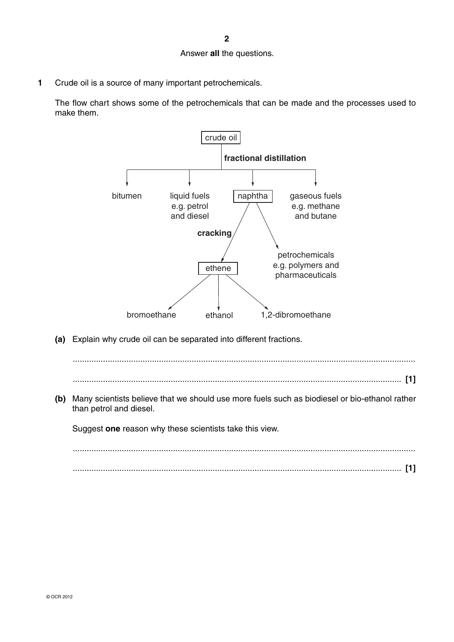#### Answer **all** the questions.

**1** Crude oil is a source of many important petrochemicals.

The flow chart shows some of the petrochemicals that can be made and the processes used to make them.



 **(a)** Explain why crude oil can be separated into different fractions.

 ................................................................................................................................................... ............................................................................................................................................. **[1]**

 **(b)** Many scientists believe that we should use more fuels such as biodiesel or bio-ethanol rather than petrol and diesel.

Suggest **one** reason why these scientists take this view.

 ................................................................................................................................................... ............................................................................................................................................. **[1]**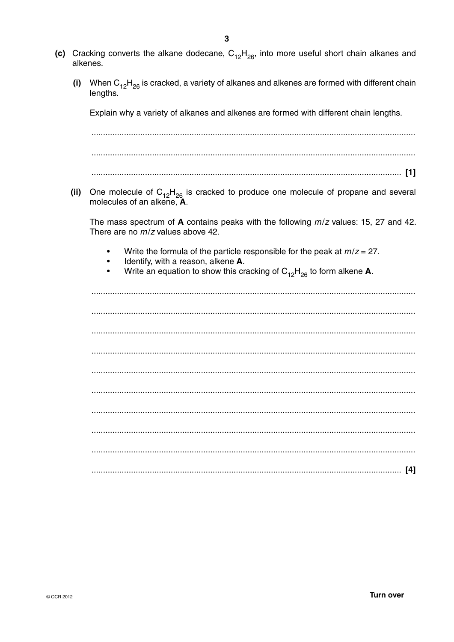- (c) Cracking converts the alkane dodecane,  $C_{12}H_{26}$ , into more useful short chain alkanes and alkenes.
	- When  $C_{12}H_{26}$  is cracked, a variety of alkanes and alkenes are formed with different chain  $(i)$ lengths.

Explain why a variety of alkanes and alkenes are formed with different chain lengths.

(ii) One molecule of  $C_{12}H_{26}$  is cracked to produce one molecule of propane and several molecules of an alkene.  $\mathbf{\tilde{A}}$ .

The mass spectrum of A contains peaks with the following  $m/z$  values: 15, 27 and 42. There are no  $m/z$  values above 42.

- Write the formula of the particle responsible for the peak at  $m/z = 27$ .
- $\bullet$ Identify, with a reason, alkene A.
- Write an equation to show this cracking of  $C_{12}H_{26}$  to form alkene A.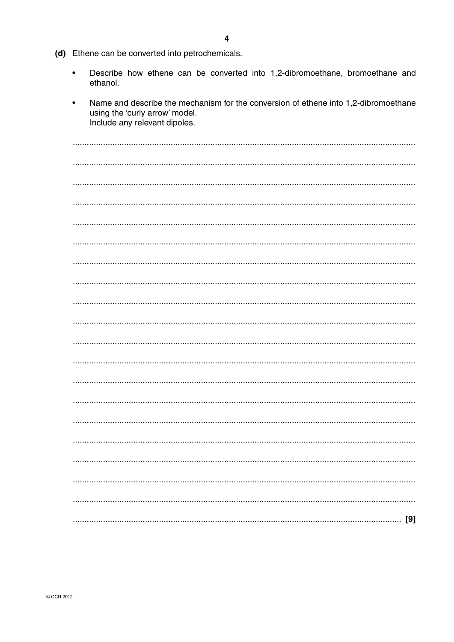(d) Ethene can be converted into petrochemicals.

 $\bullet$ Describe how ethene can be converted into 1,2-dibromoethane, bromoethane and ethanol.

| Name and describe the mechanism for the conversion of ethene into 1,2-dibromoethane<br>using the 'curly arrow' model.<br>Include any relevant dipoles. |
|--------------------------------------------------------------------------------------------------------------------------------------------------------|
|                                                                                                                                                        |
|                                                                                                                                                        |
|                                                                                                                                                        |
|                                                                                                                                                        |
|                                                                                                                                                        |
|                                                                                                                                                        |
|                                                                                                                                                        |
|                                                                                                                                                        |
|                                                                                                                                                        |
|                                                                                                                                                        |
|                                                                                                                                                        |
|                                                                                                                                                        |
|                                                                                                                                                        |
|                                                                                                                                                        |
|                                                                                                                                                        |
|                                                                                                                                                        |
|                                                                                                                                                        |
|                                                                                                                                                        |
|                                                                                                                                                        |
|                                                                                                                                                        |
|                                                                                                                                                        |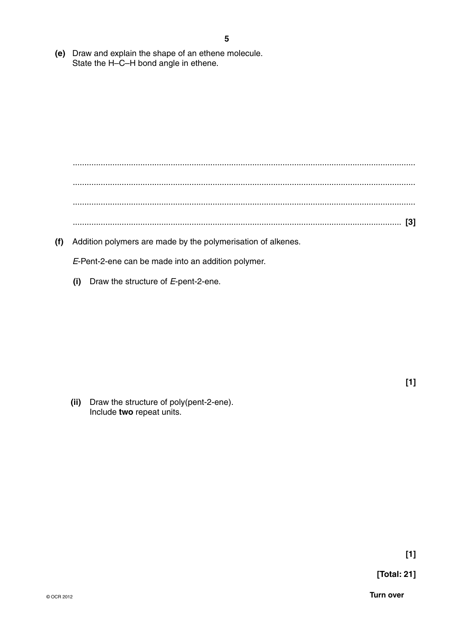(e) Draw and explain the shape of an ethene molecule. State the H-C-H bond angle in ethene.

(f) Addition polymers are made by the polymerisation of alkenes.

E-Pent-2-ene can be made into an addition polymer.

(i) Draw the structure of  $E$ -pent-2-ene.

(ii) Draw the structure of poly(pent-2-ene). Include two repeat units.

 $[1]$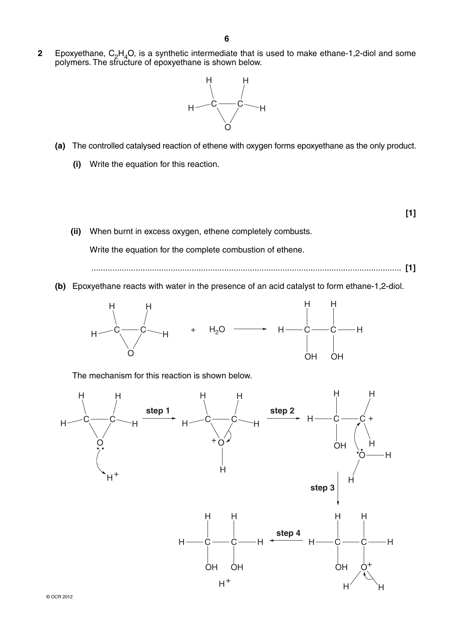**2** Epoxyethane, C<sub>2</sub>H<sub>4</sub>O, is a synthetic intermediate that is used to make ethane-1,2-diol and some polymers. The structure of epoxyethane is shown below.



- **(a)** The controlled catalysed reaction of ethene with oxygen forms epoxyethane as the only product.
	- **(i)** Write the equation for this reaction.

 **[1]**

- **(ii)** When burnt in excess oxygen, ethene completely combusts. Write the equation for the complete combustion of ethene. ..................................................................................................................................... **[1]**
- **(b)** Epoxyethane reacts with water in the presence of an acid catalyst to form ethane-1,2-diol.



The mechanism for this reaction is shown below.

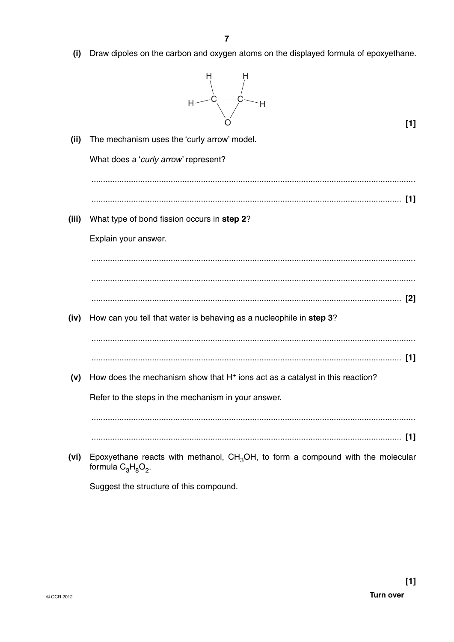$(i)$ Draw dipoles on the carbon and oxygen atoms on the displayed formula of epoxyethane.



 $[1]$ 

 $(iii)$ The mechanism uses the 'curly arrow' model. What does a 'curly arrow' represent? (iii) What type of bond fission occurs in step 2? Explain your answer.  $(iv)$ How can you tell that water is behaving as a nucleophile in step 3? (v) How does the mechanism show that H<sup>+</sup> ions act as a catalyst in this reaction? Refer to the steps in the mechanism in your answer. (vi) Epoxyethane reacts with methanol,  $CH_3OH$ , to form a compound with the molecular formula  $C_3H_8O_2$ .

Suggest the structure of this compound.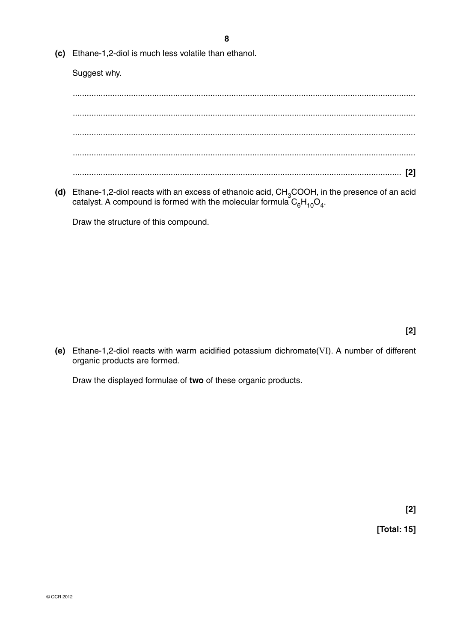**8**

 **(c)** Ethane-1,2-diol is much less volatile than ethanol.

Suggest why.

 ................................................................................................................................................... ................................................................................................................................................... ................................................................................................................................................... ................................................................................................................................................... ............................................................................................................................................. **[2]**

(d) Ethane-1,2-diol reacts with an excess of ethanoic acid, CH<sub>3</sub>COOH, in the presence of an acid catalyst. A compound is formed with the molecular formula  $C_6H_{10}O_4$ .

Draw the structure of this compound.

 **[2]**

 **(e)** Ethane-1,2-diol reacts with warm acidified potassium dichromate(VI). A number of different organic products are formed.

Draw the displayed formulae of **two** of these organic products.

 **[2]**

 **[Total: 15]**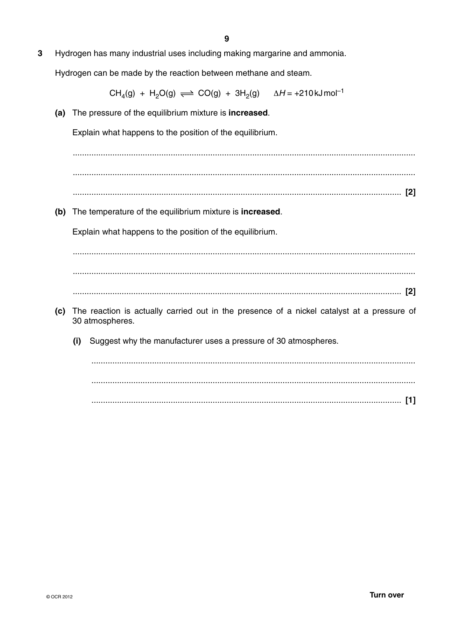9

 $\overline{3}$ Hydrogen has many industrial uses including making margarine and ammonia.

Hydrogen can be made by the reaction between methane and steam.

 $CH_A(g) + H_2O(g) \rightleftharpoons CO(g) + 3H_2(g)$   $\Delta H = +210 \text{ kJ} \text{mol}^{-1}$ 

(a) The pressure of the equilibrium mixture is **increased**.

Explain what happens to the position of the equilibrium.

(b) The temperature of the equilibrium mixture is increased.

Explain what happens to the position of the equilibrium.

- (c) The reaction is actually carried out in the presence of a nickel catalyst at a pressure of 30 atmospheres.
	- (i) Suggest why the manufacturer uses a pressure of 30 atmospheres.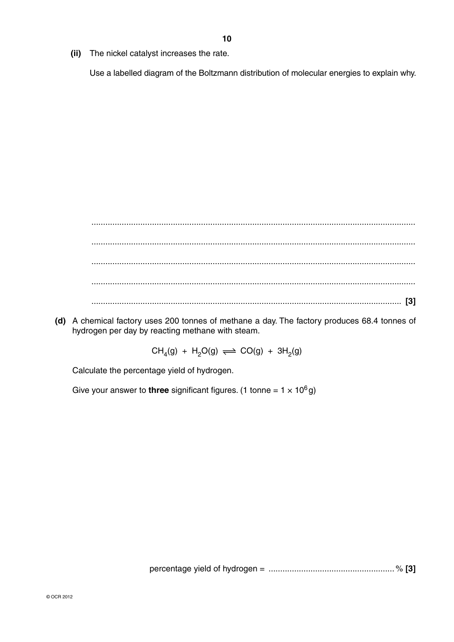**(ii)** The nickel catalyst increases the rate.

Use a labelled diagram of the Boltzmann distribution of molecular energies to explain why.

 ........................................................................................................................................... ........................................................................................................................................... ........................................................................................................................................... ........................................................................................................................................... ..................................................................................................................................... **[3]**

 **(d)** A chemical factory uses 200 tonnes of methane a day. The factory produces 68.4 tonnes of hydrogen per day by reacting methane with steam.

 $CH_4(g) + H_2O(g) \rightleftharpoons CO(g) + 3H_2(g)$ 

Calculate the percentage yield of hydrogen.

Give your answer to **three** significant figures. (1 tonne =  $1 \times 10^6$  g)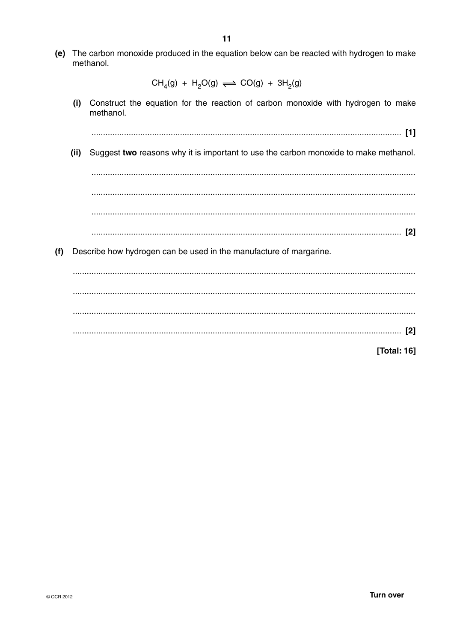(e) The carbon monoxide produced in the equation below can be reacted with hydrogen to make methanol.

 $CH<sub>4</sub>(g) + H<sub>2</sub>O(g) \implies CO(g) + 3H<sub>2</sub>(g)$ 

 $(i)$ Construct the equation for the reaction of carbon monoxide with hydrogen to make methanol.

(ii) Suggest two reasons why it is important to use the carbon monoxide to make methanol.

(f) Describe how hydrogen can be used in the manufacture of margarine.

[Total: 16]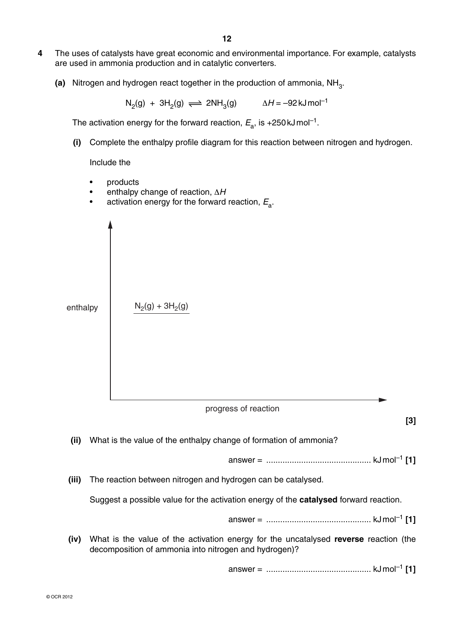- **4** The uses of catalysts have great economic and environmental importance. For example, catalysts are used in ammonia production and in catalytic converters.
	- **(a)** Nitrogen and hydrogen react together in the production of ammonia, NH<sub>3</sub>.

 $N_2(g) + 3H_2(g) \implies 2NH_3(g)$   $\Delta H = -92 \text{ kJ} \text{ mol}^{-1}$ 

The activation energy for the forward reaction,  $E_a$ , is +250 kJ mol<sup>-1</sup>.

 **(i)** Complete the enthalpy profile diagram for this reaction between nitrogen and hydrogen.

Include the

- products
- enthalpy change of reaction, Δ*H*
- activation energy for the forward reaction, *E*a.

enthalpy  $N_2(g) + 3H_2(g)$ progress of reaction **[3]**

 **(ii)** What is the value of the enthalpy change of formation of ammonia?

answer = ............................................. kJ mol–1 **[1]**

 **(iii)** The reaction between nitrogen and hydrogen can be catalysed.

Suggest a possible value for the activation energy of the **catalysed** forward reaction.

answer = ............................................. kJ mol–1 **[1]**

 **(iv)** What is the value of the activation energy for the uncatalysed **reverse** reaction (the decomposition of ammonia into nitrogen and hydrogen)?

answer = ............................................. kJ mol–1 **[1]**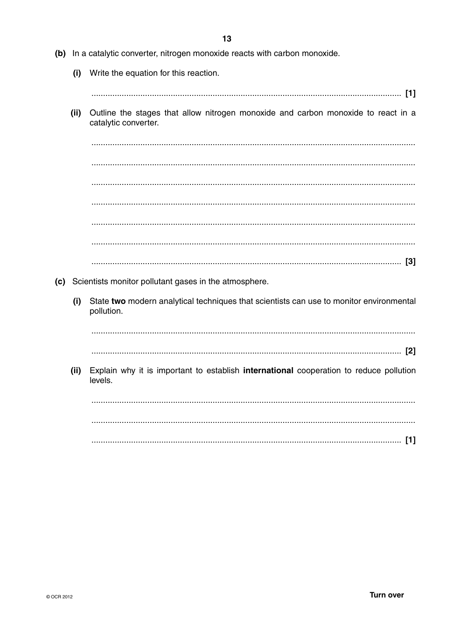Write the equation for this reaction.  $(i)$  $(ii)$ Outline the stages that allow nitrogen monoxide and carbon monoxide to react in a catalytic converter. (c) Scientists monitor pollutant gases in the atmosphere. State two modern analytical techniques that scientists can use to monitor environmental  $(i)$ pollution. Explain why it is important to establish international cooperation to reduce pollution  $(ii)$ levels. 

(b) In a catalytic converter, nitrogen monoxide reacts with carbon monoxide.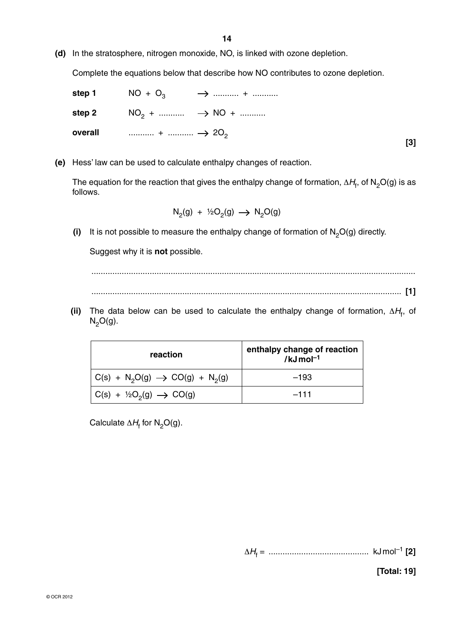**(d)** In the stratosphere, nitrogen monoxide, NO, is linked with ozone depletion.

Complete the equations below that describe how NO contributes to ozone depletion.

|  |                                                             | step 1 $NO + O_3$ $\rightarrow$ + |  |
|--|-------------------------------------------------------------|-----------------------------------|--|
|  |                                                             |                                   |  |
|  | overall $\cdots$ $+$ $\cdots$ $\rightarrow$ 20 <sub>2</sub> |                                   |  |
|  |                                                             |                                   |  |

 **(e)** Hess' law can be used to calculate enthalpy changes of reaction.

The equation for the reaction that gives the enthalpy change of formation,  $\Delta H_f$ , of N<sub>2</sub>O(g) is as follows.

$$
N_2(g) + \frac{1}{2}O_2(g) \longrightarrow N_2O(g)
$$

(i) It is not possible to measure the enthalpy change of formation of  $N_2O(g)$  directly.

Suggest why it is **not** possible.

 ........................................................................................................................................... ..................................................................................................................................... **[1]**

**(ii)** The data below can be used to calculate the enthalpy change of formation,  $\Delta H_f$ , of  $N_2O(g)$ .

| reaction                                                                  | enthalpy change of reaction<br>/kJ $\text{mol}^{-1}$ |  |  |
|---------------------------------------------------------------------------|------------------------------------------------------|--|--|
| $C(s) + N_2O(g) \rightarrow CO(g) + N_2(g)$                               | $-193$                                               |  |  |
| $\mathsf{C}(s) + \frac{1}{2}\mathsf{O}_{2}(g) \rightarrow \mathsf{CO}(g)$ | $-111$                                               |  |  |

Calculate  $\Delta H_{\text{f}}$  for N<sub>2</sub>O(g).

Δ*H*<sup>f</sup> = ........................................... kJ mol–1 **[2]**

 **[Total: 19]**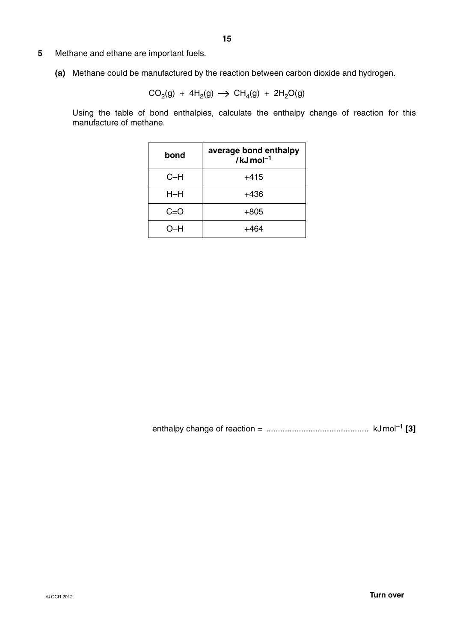- **5** Methane and ethane are important fuels.
	- **(a)** Methane could be manufactured by the reaction between carbon dioxide and hydrogen.

$$
CO2(g) + 4H2(g) \rightarrow CH4(g) + 2H2O(g)
$$

Using the table of bond enthalpies, calculate the enthalpy change of reaction for this manufacture of methane.

| bond    | average bond enthalpy<br>$/kJ$ mol <sup>-1</sup> |
|---------|--------------------------------------------------|
| $C-H$   | +415                                             |
| $H$ –H  | +436                                             |
| $C = O$ | $+805$                                           |
| O-H     | ⊥464                                             |

enthalpy change of reaction = ............................................ kJ mol–1 **[3]**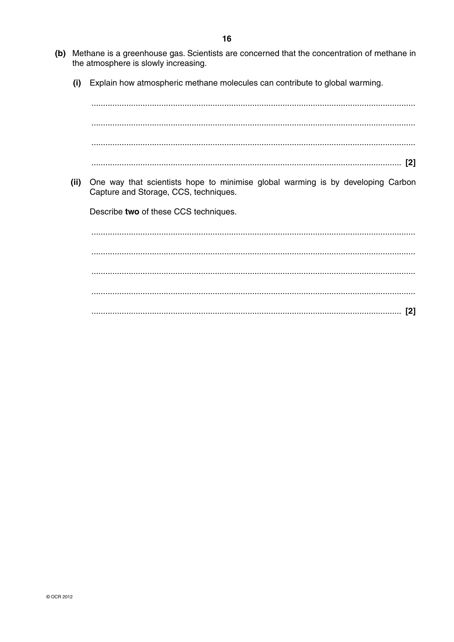- (b) Methane is a greenhouse gas. Scientists are concerned that the concentration of methane in the atmosphere is slowly increasing.
	- $(i)$ Explain how atmospheric methane molecules can contribute to global warming.

(ii) One way that scientists hope to minimise global warming is by developing Carbon Capture and Storage, CCS, techniques.

Describe two of these CCS techniques.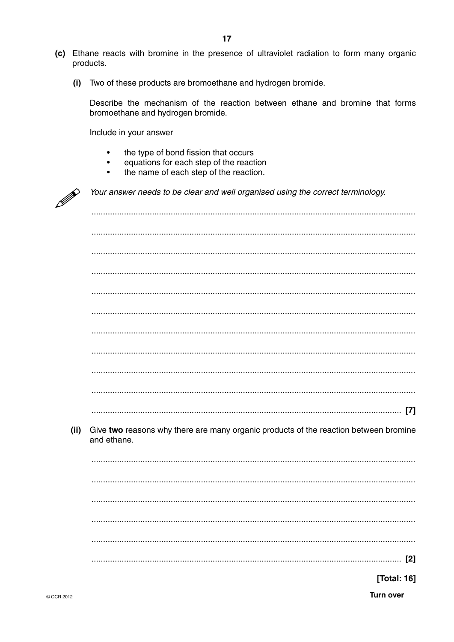- (c) Ethane reacts with bromine in the presence of ultraviolet radiation to form many organic products.
	- (i) Two of these products are bromoethane and hydrogen bromide.

Describe the mechanism of the reaction between ethane and bromine that forms bromoethane and hydrogen bromide.

Include in your answer

- the type of bond fission that occurs  $\bullet$
- equations for each step of the reaction  $\bullet$
- $\bullet$ the name of each step of the reaction.

|      | Your answer needs to be clear and well organised using the correct terminology.                     |
|------|-----------------------------------------------------------------------------------------------------|
|      |                                                                                                     |
|      |                                                                                                     |
|      |                                                                                                     |
|      |                                                                                                     |
|      |                                                                                                     |
|      |                                                                                                     |
|      |                                                                                                     |
|      |                                                                                                     |
|      |                                                                                                     |
|      |                                                                                                     |
|      | $[7]$                                                                                               |
| (ii) | Give two reasons why there are many organic products of the reaction between bromine<br>and ethane. |
|      |                                                                                                     |
|      |                                                                                                     |
|      |                                                                                                     |
|      |                                                                                                     |
|      |                                                                                                     |
|      | $[2]$                                                                                               |
|      | [Total: 16]                                                                                         |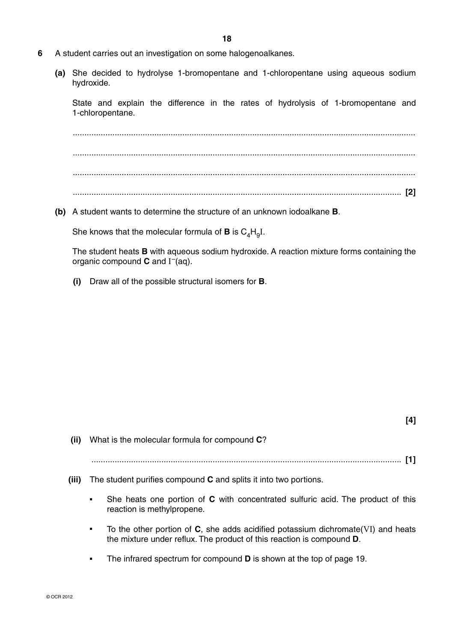- **6** A student carries out an investigation on some halogenoalkanes.
	- **(a)** She decided to hydrolyse 1-bromopentane and 1-chloropentane using aqueous sodium hydroxide.

State and explain the difference in the rates of hydrolysis of 1-bromopentane and 1-chloropentane.

 ................................................................................................................................................... ................................................................................................................................................... ................................................................................................................................................... ............................................................................................................................................. **[2]**

 **(b)** A student wants to determine the structure of an unknown iodoalkane **B**.

She knows that the molecular formula of **B** is  $C_4H_9I$ .

The student heats **B** with aqueous sodium hydroxide. A reaction mixture forms containing the organic compound **C** and I–(aq).

 **(i)** Draw all of the possible structural isomers for **B**.

| (ii)  | What is the molecular formula for compound C?                                                                                                                                           |
|-------|-----------------------------------------------------------------------------------------------------------------------------------------------------------------------------------------|
|       | $[1]$                                                                                                                                                                                   |
| (iii) | The student purifies compound C and splits it into two portions.                                                                                                                        |
|       | She heats one portion of C with concentrated sulfuric acid. The product of this<br>$\blacksquare$<br>reaction is methylpropene.                                                         |
|       | To the other portion of $C$ , she adds acidified potassium dichromate (VI) and heats<br>$\blacksquare$<br>the mixture under reflux. The product of this reaction is compound <b>D</b> . |

■ The infrared spectrum for compound **D** is shown at the top of page 19.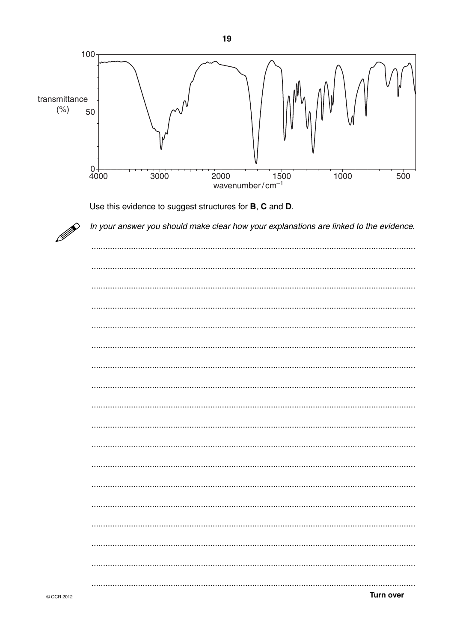

Use this evidence to suggest structures for B, C and D.



| <b>Turn over</b> |
|------------------|

In your answer you should make clear how your explanations are linked to the evidence.